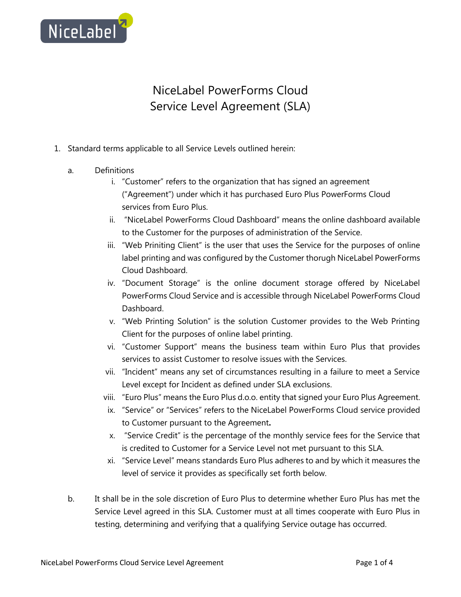

## NiceLabel PowerForms Cloud Service Level Agreement (SLA)

- 1. Standard terms applicable to all Service Levels outlined herein:
	- a. Definitions
		- i. "Customer" refers to the organization that has signed an agreement ("Agreement") under which it has purchased Euro Plus PowerForms Cloud services from Euro Plus.
		- ii. "NiceLabel PowerForms Cloud Dashboard" means the online dashboard available to the Customer for the purposes of administration of the Service.
		- iii. "Web Priniting Client" is the user that uses the Service for the purposes of online label printing and was configured by the Customer thorugh NiceLabel PowerForms Cloud Dashboard.
		- iv. "Document Storage" is the online document storage offered by NiceLabel PowerForms Cloud Service and is accessible through NiceLabel PowerForms Cloud Dashboard.
		- v. "Web Printing Solution" is the solution Customer provides to the Web Printing Client for the purposes of online label printing.
		- vi. "Customer Support" means the business team within Euro Plus that provides services to assist Customer to resolve issues with the Services.
		- vii. "Incident" means any set of circumstances resulting in a failure to meet a Service Level except for Incident as defined under SLA exclusions.
		- viii. "Euro Plus" means the Euro Plus d.o.o. entity that signed your Euro Plus Agreement.
		- ix. "Service" or "Services" refers to the NiceLabel PowerForms Cloud service provided to Customer pursuant to the Agreement**.**
		- x. "Service Credit" is the percentage of the monthly service fees for the Service that is credited to Customer for a Service Level not met pursuant to this SLA.
		- xi. "Service Level" means standards Euro Plus adheres to and by which it measures the level of service it provides as specifically set forth below.
	- b. It shall be in the sole discretion of Euro Plus to determine whether Euro Plus has met the Service Level agreed in this SLA. Customer must at all times cooperate with Euro Plus in testing, determining and verifying that a qualifying Service outage has occurred.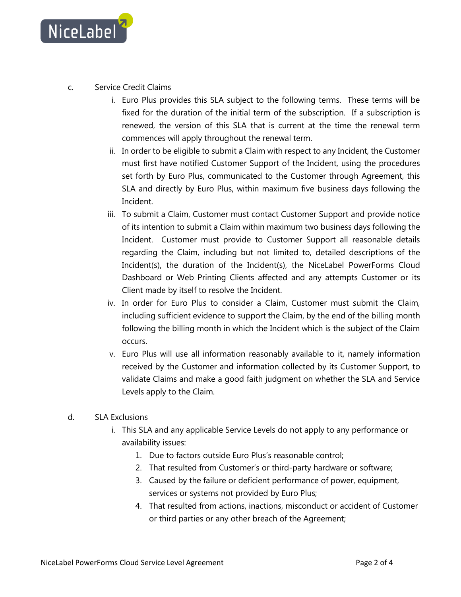

- c. Service Credit Claims
	- i. Euro Plus provides this SLA subject to the following terms. These terms will be fixed for the duration of the initial term of the subscription. If a subscription is renewed, the version of this SLA that is current at the time the renewal term commences will apply throughout the renewal term.
	- ii. In order to be eligible to submit a Claim with respect to any Incident, the Customer must first have notified Customer Support of the Incident, using the procedures set forth by Euro Plus, communicated to the Customer through Agreement, this SLA and directly by Euro Plus, within maximum five business days following the Incident.
	- iii. To submit a Claim, Customer must contact Customer Support and provide notice of its intention to submit a Claim within maximum two business days following the Incident. Customer must provide to Customer Support all reasonable details regarding the Claim, including but not limited to, detailed descriptions of the Incident(s), the duration of the Incident(s), the NiceLabel PowerForms Cloud Dashboard or Web Printing Clients affected and any attempts Customer or its Client made by itself to resolve the Incident.
	- iv. In order for Euro Plus to consider a Claim, Customer must submit the Claim, including sufficient evidence to support the Claim, by the end of the billing month following the billing month in which the Incident which is the subject of the Claim occurs.
	- v. Euro Plus will use all information reasonably available to it, namely information received by the Customer and information collected by its Customer Support, to validate Claims and make a good faith judgment on whether the SLA and Service Levels apply to the Claim.
- d. SLA Exclusions
	- i. This SLA and any applicable Service Levels do not apply to any performance or availability issues:
		- 1. Due to factors outside Euro Plus's reasonable control;
		- 2. That resulted from Customer's or third-party hardware or software;
		- 3. Caused by the failure or deficient performance of power, equipment, services or systems not provided by Euro Plus;
		- 4. That resulted from actions, inactions, misconduct or accident of Customer or third parties or any other breach of the Agreement;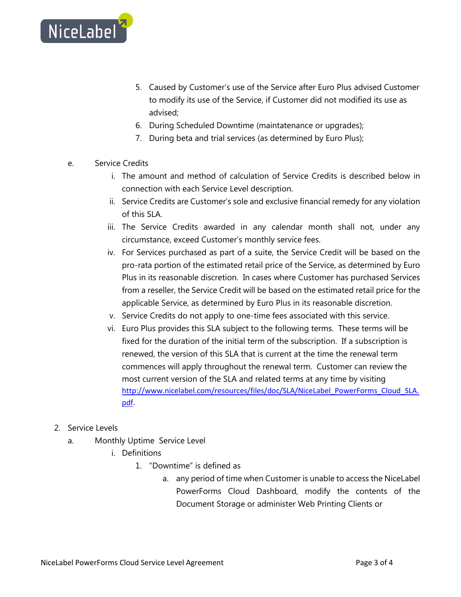

- 5. Caused by Customer's use of the Service after Euro Plus advised Customer to modify its use of the Service, if Customer did not modified its use as advised;
- 6. During Scheduled Downtime (maintatenance or upgrades);
- 7. During beta and trial services (as determined by Euro Plus);
- e. Service Credits
	- i. The amount and method of calculation of Service Credits is described below in connection with each Service Level description.
	- ii. Service Credits are Customer's sole and exclusive financial remedy for any violation of this SLA.
	- iii. The Service Credits awarded in any calendar month shall not, under any circumstance, exceed Customer's monthly service fees.
	- iv. For Services purchased as part of a suite, the Service Credit will be based on the pro-rata portion of the estimated retail price of the Service, as determined by Euro Plus in its reasonable discretion. In cases where Customer has purchased Services from a reseller, the Service Credit will be based on the estimated retail price for the applicable Service, as determined by Euro Plus in its reasonable discretion.
	- v. Service Credits do not apply to one-time fees associated with this service.
	- vi. Euro Plus provides this SLA subject to the following terms. These terms will be fixed for the duration of the initial term of the subscription. If a subscription is renewed, the version of this SLA that is current at the time the renewal term commences will apply throughout the renewal term. Customer can review the most current version of the SLA and related terms at any time by visiting [http://www.nicelabel.com/resources/files/doc/SLA/NiceLabel\\_PowerForms\\_Cloud\\_SLA.](http://www.nicelabel.com/resources/files/doc/SLA/NiceLabel_PowerForms_Cloud_SLA.pdf) [pdf.](http://www.nicelabel.com/resources/files/doc/SLA/NiceLabel_PowerForms_Cloud_SLA.pdf)
- 2. Service Levels
	- a. Monthly Uptime Service Level
		- i. Definitions
			- 1. "Downtime" is defined as
				- a. any period of time when Customer is unable to access the NiceLabel PowerForms Cloud Dashboard, modify the contents of the Document Storage or administer Web Printing Clients or